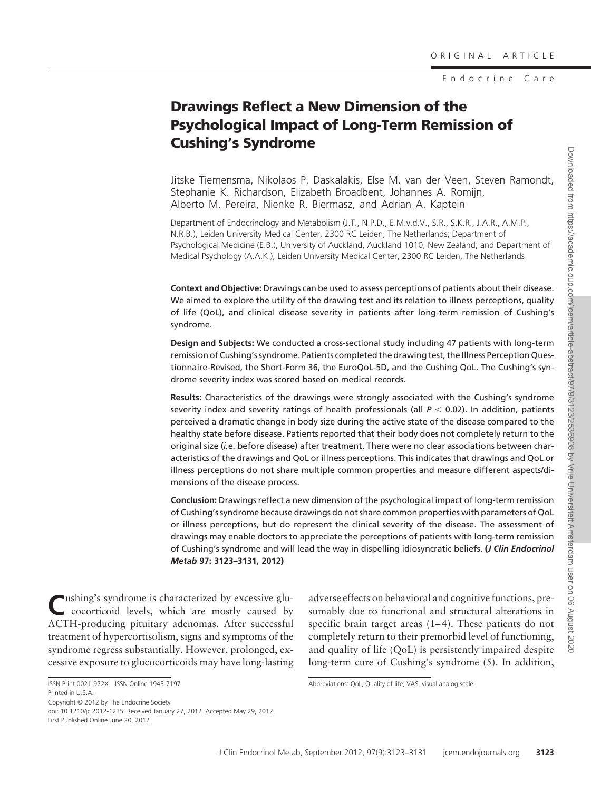# **Drawings Reflect a New Dimension of the Psychological Impact of Long-Term Remission of Cushing's Syndrome**

Jitske Tiemensma, Nikolaos P. Daskalakis, Else M. van der Veen, Steven Ramondt, Stephanie K. Richardson, Elizabeth Broadbent, Johannes A. Romijn, Alberto M. Pereira, Nienke R. Biermasz, and Adrian A. Kaptein

Department of Endocrinology and Metabolism (J.T., N.P.D., E.M.v.d.V., S.R., S.K.R., J.A.R., A.M.P., N.R.B.), Leiden University Medical Center, 2300 RC Leiden, The Netherlands; Department of Psychological Medicine (E.B.), University of Auckland, Auckland 1010, New Zealand; and Department of Medical Psychology (A.A.K.), Leiden University Medical Center, 2300 RC Leiden, The Netherlands

**Context and Objective:** Drawings can be used to assess perceptions of patients about their disease. We aimed to explore the utility of the drawing test and its relation to illness perceptions, quality of life (QoL), and clinical disease severity in patients after long-term remission of Cushing's syndrome.

**Design and Subjects:** We conducted a cross-sectional study including 47 patients with long-term remission of Cushing's syndrome. Patients completed the drawing test, the Illness Perception Questionnaire-Revised, the Short-Form 36, the EuroQoL-5D, and the Cushing QoL. The Cushing's syndrome severity index was scored based on medical records.

**Results:** Characteristics of the drawings were strongly associated with the Cushing's syndrome severity index and severity ratings of health professionals (all  $P < 0.02$ ). In addition, patients perceived a dramatic change in body size during the active state of the disease compared to the healthy state before disease. Patients reported that their body does not completely return to the original size (*i.e.* before disease) after treatment. There were no clear associations between characteristics of the drawings and QoL or illness perceptions. This indicates that drawings and QoL or illness perceptions do not share multiple common properties and measure different aspects/dimensions of the disease process.

**Conclusion:** Drawings reflect a new dimension of the psychological impact of long-term remission of Cushing's syndrome because drawings do not share common properties with parameters of QoL or illness perceptions, but do represent the clinical severity of the disease. The assessment of drawings may enable doctors to appreciate the perceptions of patients with long-term remission of Cushing's syndrome and will lead the way in dispelling idiosyncratic beliefs. **(***J Clin Endocrinol Metab* **97: 3123–3131, 2012)**

**Lushing's syndrome is characterized by excessive glu**cocorticoid levels, which are mostly caused by ACTH-producing pituitary adenomas. After successful treatment of hypercortisolism, signs and symptoms of the syndrome regress substantially. However, prolonged, excessive exposure to glucocorticoids may have long-lasting

ISSN Print 0021-972X ISSN Online 1945-7197 Printed in U.S.A. Copyright © 2012 by The Endocrine Society

doi: 10.1210/jc.2012-1235 Received January 27, 2012. Accepted May 29, 2012. First Published Online June 20, 2012

sumably due to functional and structural alterations in specific brain target areas  $(1-4)$ . These patients do not completely return to their premorbid level of functioning, and quality of life (QoL) is persistently impaired despite long-term cure of Cushing's syndrome (5). In addition,

adverse effects on behavioral and cognitive functions, pre-

Abbreviations: QoL, Quality of life; VAS, visual analog scale.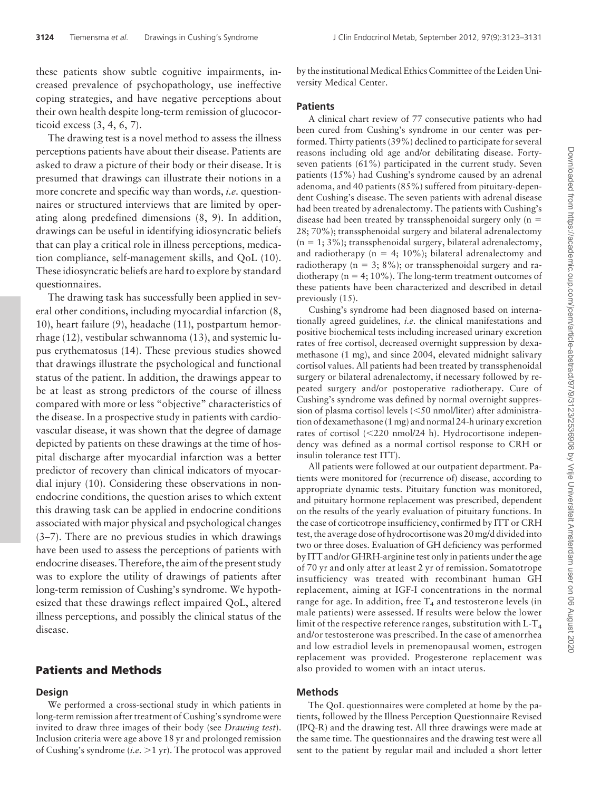these patients show subtle cognitive impairments, increased prevalence of psychopathology, use ineffective coping strategies, and have negative perceptions about their own health despite long-term remission of glucocorticoid excess (3, 4, 6, 7).

The drawing test is a novel method to assess the illness perceptions patients have about their disease. Patients are asked to draw a picture of their body or their disease. It is presumed that drawings can illustrate their notions in a more concrete and specific way than words, *i.e.* questionnaires or structured interviews that are limited by operating along predefined dimensions (8, 9). In addition, drawings can be useful in identifying idiosyncratic beliefs that can play a critical role in illness perceptions, medication compliance, self-management skills, and QoL (10). These idiosyncratic beliefs are hard to explore by standard questionnaires.

The drawing task has successfully been applied in several other conditions, including myocardial infarction (8, 10), heart failure (9), headache (11), postpartum hemorrhage (12), vestibular schwannoma (13), and systemic lupus erythematosus (14). These previous studies showed that drawings illustrate the psychological and functional status of the patient. In addition, the drawings appear to be at least as strong predictors of the course of illness compared with more or less "objective" characteristics of the disease. In a prospective study in patients with cardiovascular disease, it was shown that the degree of damage depicted by patients on these drawings at the time of hospital discharge after myocardial infarction was a better predictor of recovery than clinical indicators of myocardial injury (10). Considering these observations in nonendocrine conditions, the question arises to which extent this drawing task can be applied in endocrine conditions associated with major physical and psychological changes (3–7). There are no previous studies in which drawings have been used to assess the perceptions of patients with endocrine diseases. Therefore, the aim of the present study was to explore the utility of drawings of patients after long-term remission of Cushing's syndrome. We hypothesized that these drawings reflect impaired QoL, altered illness perceptions, and possibly the clinical status of the disease.

# **Patients and Methods**

### **Design**

We performed a cross-sectional study in which patients in long-term remission after treatment of Cushing's syndrome were invited to draw three images of their body (see *Drawing test*). Inclusion criteria were age above 18 yr and prolonged remission of Cushing's syndrome (*i.e.* -1 yr). The protocol was approved

by the institutional Medical Ethics Committee of the Leiden University Medical Center.

### **Patients**

A clinical chart review of 77 consecutive patients who had been cured from Cushing's syndrome in our center was performed. Thirty patients (39%) declined to participate for several reasons including old age and/or debilitating disease. Fortyseven patients (61%) participated in the current study. Seven patients (15%) had Cushing's syndrome caused by an adrenal adenoma, and 40 patients (85%) suffered from pituitary-dependent Cushing's disease. The seven patients with adrenal disease had been treated by adrenalectomy. The patients with Cushing's disease had been treated by transsphenoidal surgery only  $(n =$ 28; 70%); transsphenoidal surgery and bilateral adrenalectomy  $(n = 1; 3\%)$ ; transsphenoidal surgery, bilateral adrenalectomy, and radiotherapy ( $n = 4$ ; 10%); bilateral adrenalectomy and radiotherapy ( $n = 3$ ;  $8\%$ ); or transsphenoidal surgery and radiotherapy ( $n = 4$ ; 10%). The long-term treatment outcomes of these patients have been characterized and described in detail previously (15).

Cushing's syndrome had been diagnosed based on internationally agreed guidelines, *i.e.* the clinical manifestations and positive biochemical tests including increased urinary excretion rates of free cortisol, decreased overnight suppression by dexamethasone (1 mg), and since 2004, elevated midnight salivary cortisol values. All patients had been treated by transsphenoidal surgery or bilateral adrenalectomy, if necessary followed by repeated surgery and/or postoperative radiotherapy. Cure of Cushing's syndrome was defined by normal overnight suppression of plasma cortisol levels  $(<50$  nmol/liter) after administration of dexamethasone (1 mg) and normal 24-h urinary excretion rates of cortisol (220 nmol/24 h). Hydrocortisone independency was defined as a normal cortisol response to CRH or insulin tolerance test ITT).

All patients were followed at our outpatient department. Patients were monitored for (recurrence of) disease, according to appropriate dynamic tests. Pituitary function was monitored, and pituitary hormone replacement was prescribed, dependent on the results of the yearly evaluation of pituitary functions. In the case of corticotrope insufficiency, confirmed by ITT or CRH test, the average dose of hydrocortisone was 20 mg/d divided into two or three doses. Evaluation of GH deficiency was performed by ITT and/or GHRH-arginine test only in patients under the age of 70 yr and only after at least 2 yr of remission. Somatotrope insufficiency was treated with recombinant human GH replacement, aiming at IGF-I concentrations in the normal range for age. In addition, free  $T_4$  and testosterone levels (in male patients) were assessed. If results were below the lower limit of the respective reference ranges, substitution with  $L-T_4$ and/or testosterone was prescribed. In the case of amenorrhea and low estradiol levels in premenopausal women, estrogen replacement was provided. Progesterone replacement was also provided to women with an intact uterus.

#### **Methods**

The QoL questionnaires were completed at home by the patients, followed by the Illness Perception Questionnaire Revised (IPQ-R) and the drawing test. All three drawings were made at the same time. The questionnaires and the drawing test were all sent to the patient by regular mail and included a short letter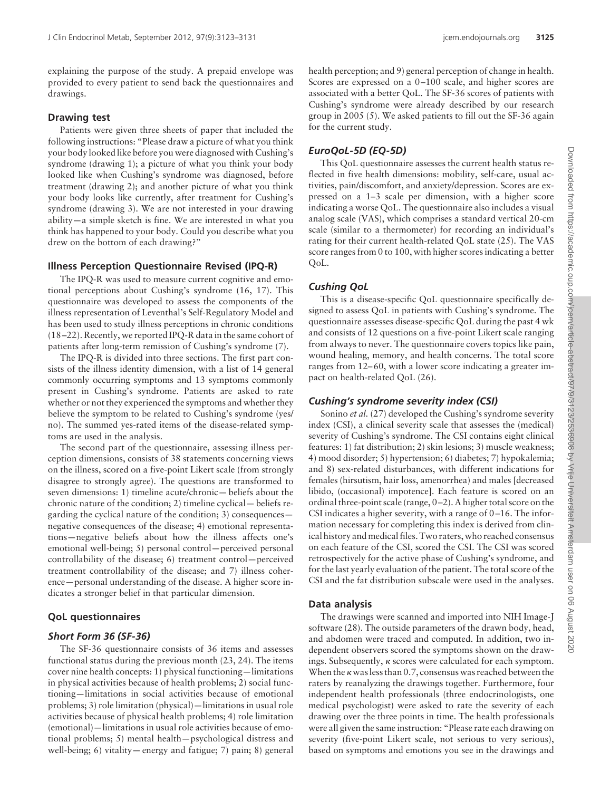explaining the purpose of the study. A prepaid envelope was provided to every patient to send back the questionnaires and drawings.

#### **Drawing test**

Patients were given three sheets of paper that included the following instructions: "Please draw a picture of what you think your body looked like before you were diagnosed with Cushing's syndrome (drawing 1); a picture of what you think your body looked like when Cushing's syndrome was diagnosed, before treatment (drawing 2); and another picture of what you think your body looks like currently, after treatment for Cushing's syndrome (drawing 3). We are not interested in your drawing ability—a simple sketch is fine. We are interested in what you think has happened to your body. Could you describe what you drew on the bottom of each drawing?"

#### **Illness Perception Questionnaire Revised (IPQ-R)**

The IPQ-R was used to measure current cognitive and emotional perceptions about Cushing's syndrome (16, 17). This questionnaire was developed to assess the components of the illness representation of Leventhal's Self-Regulatory Model and has been used to study illness perceptions in chronic conditions (18 –22). Recently, we reported IPQ-R data in the same cohort of patients after long-term remission of Cushing's syndrome (7).

The IPQ-R is divided into three sections. The first part consists of the illness identity dimension, with a list of 14 general commonly occurring symptoms and 13 symptoms commonly present in Cushing's syndrome. Patients are asked to rate whether or not they experienced the symptoms and whether they believe the symptom to be related to Cushing's syndrome (yes/ no). The summed yes-rated items of the disease-related symptoms are used in the analysis.

The second part of the questionnaire, assessing illness perception dimensions, consists of 38 statements concerning views on the illness, scored on a five-point Likert scale (from strongly disagree to strongly agree). The questions are transformed to seven dimensions: 1) timeline acute/chronic— beliefs about the chronic nature of the condition; 2) timeline cyclical— beliefs regarding the cyclical nature of the condition; 3) consequences negative consequences of the disease; 4) emotional representations—negative beliefs about how the illness affects one's emotional well-being; 5) personal control—perceived personal controllability of the disease; 6) treatment control—perceived treatment controllability of the disease; and 7) illness coherence—personal understanding of the disease. A higher score indicates a stronger belief in that particular dimension.

### **QoL questionnaires**

### *Short Form 36 (SF-36)*

The SF-36 questionnaire consists of 36 items and assesses functional status during the previous month (23, 24). The items cover nine health concepts: 1) physical functioning—limitations in physical activities because of health problems; 2) social functioning—limitations in social activities because of emotional problems; 3) role limitation (physical)—limitations in usual role activities because of physical health problems; 4) role limitation (emotional)—limitations in usual role activities because of emotional problems; 5) mental health—psychological distress and well-being; 6) vitality— energy and fatigue; 7) pain; 8) general health perception; and 9) general perception of change in health. Scores are expressed on a 0-100 scale, and higher scores are associated with a better QoL. The SF-36 scores of patients with Cushing's syndrome were already described by our research group in 2005 (5). We asked patients to fill out the SF-36 again for the current study.

### *EuroQoL-5D (EQ-5D)*

This QoL questionnaire assesses the current health status reflected in five health dimensions: mobility, self-care, usual activities, pain/discomfort, and anxiety/depression. Scores are expressed on a 1–3 scale per dimension, with a higher score indicating a worse QoL. The questionnaire also includes a visual analog scale (VAS), which comprises a standard vertical 20-cm scale (similar to a thermometer) for recording an individual's rating for their current health-related QoL state (25). The VAS score ranges from 0 to 100, with higher scores indicating a better QoL.

### *Cushing QoL*

This is a disease-specific QoL questionnaire specifically designed to assess QoL in patients with Cushing's syndrome. The questionnaire assesses disease-specific QoL during the past 4 wk and consists of 12 questions on a five-point Likert scale ranging from always to never. The questionnaire covers topics like pain, wound healing, memory, and health concerns. The total score ranges from 12–60, with a lower score indicating a greater impact on health-related QoL (26).

### *Cushing's syndrome severity index (CSI)*

Sonino *et al.* (27) developed the Cushing's syndrome severity index (CSI), a clinical severity scale that assesses the (medical) severity of Cushing's syndrome. The CSI contains eight clinical features: 1) fat distribution; 2) skin lesions; 3) muscle weakness; 4) mood disorder; 5) hypertension; 6) diabetes; 7) hypokalemia; and 8) sex-related disturbances, with different indications for females (hirsutism, hair loss, amenorrhea) and males [decreased libido, (occasional) impotence]. Each feature is scored on an ordinal three-point scale (range,  $0-2$ ). A higher total score on the CSI indicates a higher severity, with a range of  $0-16$ . The information necessary for completing this index is derived from clinical history and medical files. Two raters, who reached consensus on each feature of the CSI, scored the CSI. The CSI was scored retrospectively for the active phase of Cushing's syndrome, and for the last yearly evaluation of the patient. The total score of the CSI and the fat distribution subscale were used in the analyses.

### **Data analysis**

The drawings were scanned and imported into NIH Image-J software (28). The outside parameters of the drawn body, head, and abdomen were traced and computed. In addition, two independent observers scored the symptoms shown on the drawings. Subsequently,  $\kappa$  scores were calculated for each symptom. When the  $\kappa$  was less than 0.7, consensus was reached between the raters by reanalyzing the drawings together. Furthermore, four independent health professionals (three endocrinologists, one medical psychologist) were asked to rate the severity of each drawing over the three points in time. The health professionals were all given the same instruction: "Please rate each drawing on severity (five-point Likert scale, not serious to very serious), based on symptoms and emotions you see in the drawings and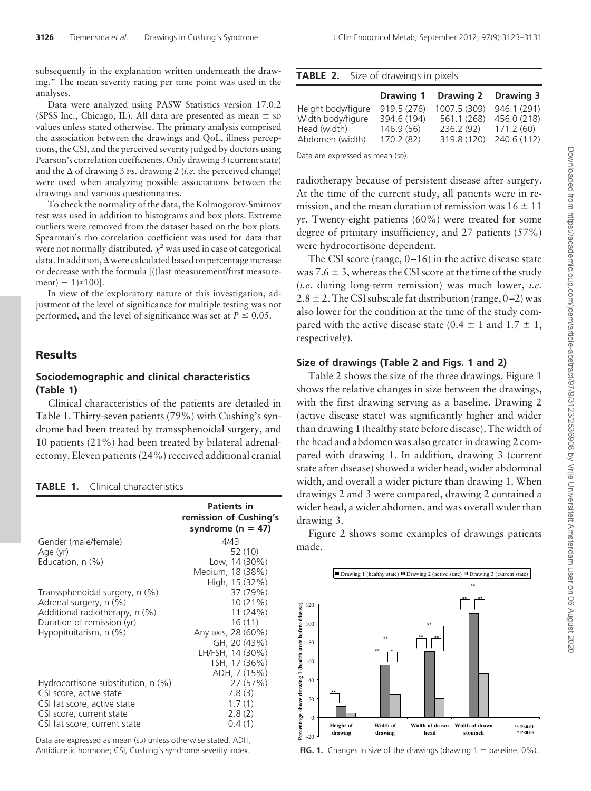subsequently in the explanation written underneath the drawing." The mean severity rating per time point was used in the analyses.

Data were analyzed using PASW Statistics version 17.0.2 (SPSS Inc., Chicago, IL). All data are presented as mean  $\pm$  sD values unless stated otherwise. The primary analysis comprised the association between the drawings and QoL, illness perceptions, the CSI, and the perceived severity judged by doctors using Pearson's correlation coefficients. Only drawing 3 (current state) and the  $\Delta$  of drawing 3 *vs.* drawing 2 (*i.e.* the perceived change) were used when analyzing possible associations between the drawings and various questionnaires.

To check the normality of the data, the Kolmogorov-Smirnov test was used in addition to histograms and box plots. Extreme outliers were removed from the dataset based on the box plots. Spearman's rho correlation coefficient was used for data that were not normally distributed.  $\chi^2$  was used in case of categorical data. In addition,  $\Delta$  were calculated based on percentage increase or decrease with the formula [((last measurement/first measurement)  $-1$  $*100$ ].

In view of the exploratory nature of this investigation, adjustment of the level of significance for multiple testing was not performed, and the level of significance was set at  $P \leq 0.05$ .

# **Results**

### **Sociodemographic and clinical characteristics (Table 1)**

Clinical characteristics of the patients are detailed in Table 1. Thirty-seven patients (79%) with Cushing's syndrome had been treated by transsphenoidal surgery, and 10 patients (21%) had been treated by bilateral adrenalectomy. Eleven patients (24%) received additional cranial

| TABLE 1. |  | Clinical characteristics |
|----------|--|--------------------------|
|----------|--|--------------------------|

|                                      | <b>Patients in</b><br>remission of Cushing's<br>syndrome ( $n = 47$ ) |
|--------------------------------------|-----------------------------------------------------------------------|
| Gender (male/female)                 | 4/43                                                                  |
| Age (yr)                             | 52 (10)                                                               |
| Education, $n$ $(\%)$                | Low, 14 (30%)                                                         |
|                                      | Medium, 18 (38%)                                                      |
|                                      | High, 15 (32%)                                                        |
| Transsphenoidal surgery, n (%)       | 37 (79%)                                                              |
| Adrenal surgery, n (%)               | 10 (21%)                                                              |
| Additional radiotherapy, n (%)       | 11 (24%)                                                              |
| Duration of remission (yr)           | 16(11)                                                                |
| Hypopituitarism, $n$ $(\%)$          | Any axis, 28 (60%)                                                    |
|                                      | GH, 20 (43%)                                                          |
|                                      | LH/FSH, 14 (30%)                                                      |
|                                      | TSH, 17 (36%)                                                         |
|                                      | ADH, 7 (15%)                                                          |
| Hydrocortisone substitution, $n$ (%) | 27 (57%)                                                              |
| CSI score, active state              | 7.8(3)                                                                |
| CSI fat score, active state          | 1.7(1)                                                                |
| CSI score, current state             | 2.8(2)                                                                |
| CSI fat score, current state         | 0.4(1)                                                                |

Data are expressed as mean (SD) unless otherwise stated. ADH, Antidiuretic hormone; CSI, Cushing's syndrome severity index.

|  |  | TABLE 2. |  |  |  | Size of drawings in pixels |  |  |  |
|--|--|----------|--|--|--|----------------------------|--|--|--|
|--|--|----------|--|--|--|----------------------------|--|--|--|

|                    | <b>Drawing 1</b> | <b>Drawing 2</b> | Drawing 3   |
|--------------------|------------------|------------------|-------------|
| Height body/figure | 919.5 (276)      | 1007.5 (309)     | 946.1 (291) |
| Width body/figure  | 394.6 (194)      | 561.1 (268)      | 456.0 (218) |
| Head (width)       | 146.9 (56)       | 236.2 (92)       | 171.2(60)   |
| Abdomen (width)    | 170.2 (82)       | 319.8 (120)      | 240.6 (112) |
|                    |                  |                  |             |

Data are expressed as mean (SD).

radiotherapy because of persistent disease after surgery. At the time of the current study, all patients were in remission, and the mean duration of remission was  $16 \pm 11$ yr. Twenty-eight patients (60%) were treated for some degree of pituitary insufficiency, and 27 patients (57%) were hydrocortisone dependent.

The CSI score (range,  $0-16$ ) in the active disease state was 7.6  $\pm$  3, whereas the CSI score at the time of the study (*i.e.* during long-term remission) was much lower, *i.e.*  $2.8 \pm 2$ . The CSI subscale fat distribution (range, 0–2) was also lower for the condition at the time of the study compared with the active disease state (0.4  $\pm$  1 and 1.7  $\pm$  1, respectively).

### **Size of drawings (Table 2 and Figs. 1 and 2)**

Table 2 shows the size of the three drawings. Figure 1 shows the relative changes in size between the drawings, with the first drawing serving as a baseline. Drawing 2 (active disease state) was significantly higher and wider than drawing 1 (healthy state before disease). The width of the head and abdomen was also greater in drawing 2 compared with drawing 1. In addition, drawing 3 (current state after disease) showed a wider head, wider abdominal width, and overall a wider picture than drawing 1. When drawings 2 and 3 were compared, drawing 2 contained a wider head, a wider abdomen, and was overall wider than drawing 3.

Figure 2 shows some examples of drawings patients made.

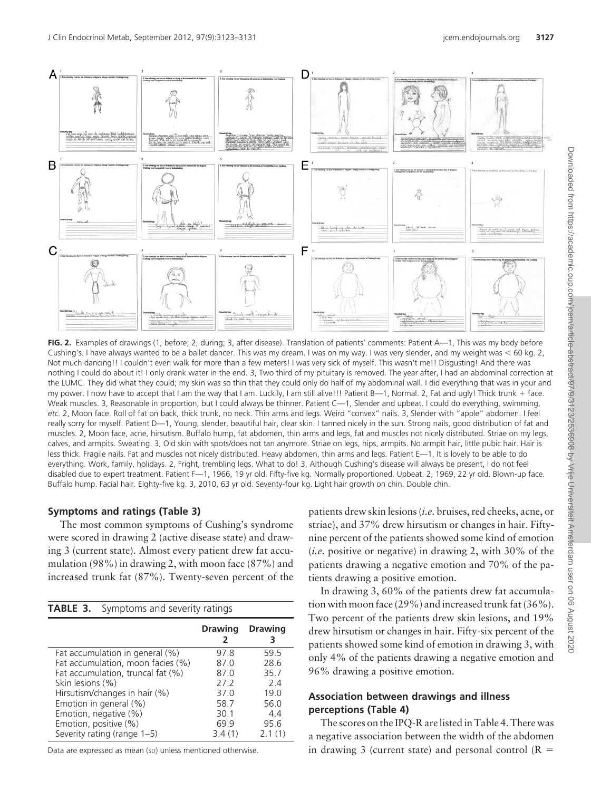

**FIG. 2.** Examples of drawings (1, before; 2, during; 3, after disease). Translation of patients' comments: Patient A—1, This was my body before Cushing's. I have always wanted to be a ballet dancer. This was my dream. I was on my way. I was very slender, and my weight was 60 kg. 2, Not much dancing!! I couldn't even walk for more than a few meters! I was very sick of myself. This wasn't me!! Disgusting! And there was nothing I could do about it! I only drank water in the end. 3, Two third of my pituitary is removed. The year after, I had an abdominal correction at the LUMC. They did what they could; my skin was so thin that they could only do half of my abdominal wall. I did everything that was in your and my power. I now have to accept that I am the way that I am. Luckily, I am still alive!!! Patient B—1, Normal. 2, Fat and ugly! Thick trunk face. Weak muscles. 3, Reasonable in proportion, but I could always be thinner. Patient C—1, Slender and upbeat. I could do everything, swimming, *etc.* 2, Moon face. Roll of fat on back, thick trunk, no neck. Thin arms and legs. Weird "convex" nails. 3, Slender with "apple" abdomen. I feel really sorry for myself. Patient D—1, Young, slender, beautiful hair, clear skin. I tanned nicely in the sun. Strong nails, good distribution of fat and muscles. 2, Moon face, acne, hirsutism. Buffalo hump, fat abdomen, thin arms and legs, fat and muscles not nicely distributed. Striae on my legs, calves, and armpits. Sweating. 3, Old skin with spots/does not tan anymore. Striae on legs, hips, armpits. No armpit hair, little pubic hair. Hair is less thick. Fragile nails. Fat and muscles not nicely distributed. Heavy abdomen, thin arms and legs. Patient E—1, It is lovely to be able to do everything. Work, family, holidays. 2, Fright, trembling legs. What to do! 3, Although Cushing's disease will always be present, I do not feel disabled due to expert treatment. Patient F—1, 1966, 19 yr old. Fifty-five kg. Normally proportioned. Upbeat. 2, 1969, 22 yr old. Blown-up face. Buffalo hump. Facial hair. Eighty-five kg. 3, 2010, 63 yr old. Seventy-four kg. Light hair growth on chin. Double chin.

### **Symptoms and ratings (Table 3)**

The most common symptoms of Cushing's syndrome were scored in drawing 2 (active disease state) and drawing 3 (current state). Almost every patient drew fat accumulation (98%) in drawing 2, with moon face (87%) and increased trunk fat (87%). Twenty-seven percent of the

| TABLE 3.<br>Symptoms and severity ratings |                     |                     |  |
|-------------------------------------------|---------------------|---------------------|--|
|                                           | <b>Drawing</b><br>2 | <b>Drawing</b><br>З |  |
| Fat accumulation in general (%)           | 97.8                | 59.5                |  |
| Fat accumulation, moon facies (%)         | 870                 | 28.6                |  |
| Fat accumulation, truncal fat (%)         | 87.0                | 35.7                |  |
| Skin lesions (%)                          | 27.2                | 2.4                 |  |
| Hirsutism/changes in hair (%)             | 37 O                | 19.0                |  |
| Emotion in general (%)                    | 58.7                | 56.0                |  |
| Emotion, negative (%)                     | 30.1                | 44                  |  |
| Emotion, positive (%)                     | 69.9                | 95.6                |  |
| Severity rating (range 1-5)               | 3.4(1)              | 2.1(1)              |  |

Data are expressed as mean (SD) unless mentioned otherwise.

patients drew skin lesions (*i.e.* bruises, red cheeks, acne, or striae), and 37% drew hirsutism or changes in hair. Fiftynine percent of the patients showed some kind of emotion (*i.e.* positive or negative) in drawing 2, with 30% of the patients drawing a negative emotion and 70% of the patients drawing a positive emotion.

In drawing 3, 60% of the patients drew fat accumulation with moon face (29%) and increased trunk fat (36%). Two percent of the patients drew skin lesions, and 19% drew hirsutism or changes in hair. Fifty-six percent of the patients showed some kind of emotion in drawing 3, with only 4% of the patients drawing a negative emotion and 96% drawing a positive emotion.

# **Association between drawings and illness perceptions (Table 4)**

The scores on the IPQ-R are listed in Table 4. There was a negative association between the width of the abdomen in drawing 3 (current state) and personal control  $(R =$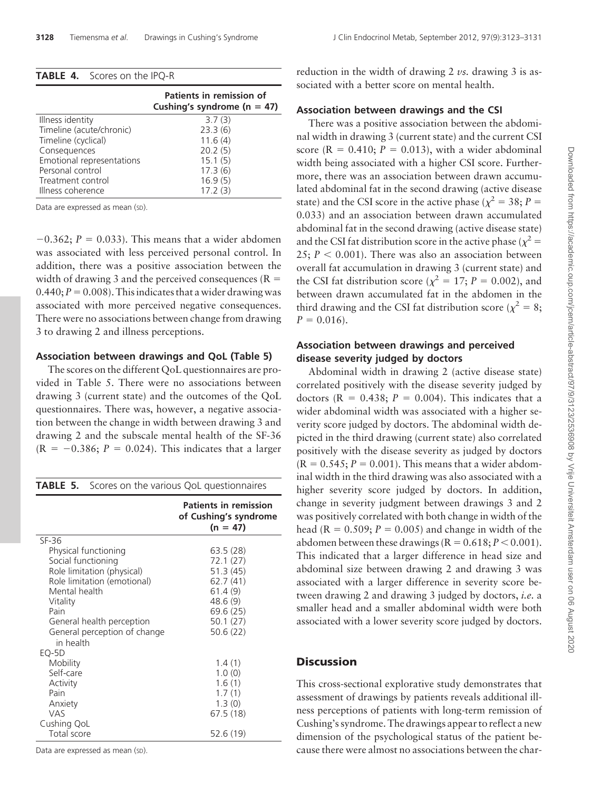|                           | Patients in remission of<br>Cushing's syndrome ( $n = 47$ ) |
|---------------------------|-------------------------------------------------------------|
| Illness identity          | 3.7(3)                                                      |
| Timeline (acute/chronic)  | 23.3(6)                                                     |
| Timeline (cyclical)       | 11.6(4)                                                     |
| Consequences              | 20.2(5)                                                     |
| Emotional representations | 15.1(5)                                                     |
| Personal control          | 17.3(6)                                                     |
| Treatment control         | 16.9(5)                                                     |
| Illness coherence         | 17.2(3)                                                     |

Data are expressed as mean (SD).

 $-0.362$ ;  $P = 0.033$ ). This means that a wider abdomen was associated with less perceived personal control. In addition, there was a positive association between the width of drawing 3 and the perceived consequences ( $R =$  $0.440; P = 0.008$ . This indicates that a wider drawing was associated with more perceived negative consequences. There were no associations between change from drawing 3 to drawing 2 and illness perceptions.

#### **Association between drawings and QoL (Table 5)**

The scores on the different QoL questionnaires are provided in Table 5. There were no associations between drawing 3 (current state) and the outcomes of the QoL questionnaires. There was, however, a negative association between the change in width between drawing 3 and drawing 2 and the subscale mental health of the SF-36  $(R = -0.386; P = 0.024)$ . This indicates that a larger

| <b>TABLE 5.</b> Scores on the various QoL questionnaires                                                                                                                                                             |                                                                                                            |  |
|----------------------------------------------------------------------------------------------------------------------------------------------------------------------------------------------------------------------|------------------------------------------------------------------------------------------------------------|--|
|                                                                                                                                                                                                                      | <b>Patients in remission</b><br>of Cushing's syndrome<br>$(n = 47)$                                        |  |
| $SF-36$<br>Physical functioning<br>Social functioning<br>Role limitation (physical)<br>Role limitation (emotional)<br>Mental health<br>Vitality<br>Pain<br>General health perception<br>General perception of change | 63.5 (28)<br>72.1 (27)<br>51.3(45)<br>62.7(41)<br>61.4(9)<br>48.6(9)<br>69.6 (25)<br>50.1 (27)<br>50.6(22) |  |
| in health<br>EQ-5D<br>Mobility<br>Self-care<br>Activity<br>Pain<br>Anxiety<br>VAS<br>Cushing QoL<br>Total score                                                                                                      | 1.4(1)<br>1.0(0)<br>1.6(1)<br>1.7(1)<br>1.3(0)<br>67.5(18)<br>52.6 (19)                                    |  |

Data are expressed as mean (SD).

reduction in the width of drawing 2 *vs.* drawing 3 is associated with a better score on mental health.

### **Association between drawings and the CSI**

There was a positive association between the abdominal width in drawing 3 (current state) and the current CSI score  $(R = 0.410; P = 0.013)$ , with a wider abdominal width being associated with a higher CSI score. Furthermore, there was an association between drawn accumulated abdominal fat in the second drawing (active disease state) and the CSI score in the active phase ( $\chi^2 = 38; P =$ 0.033) and an association between drawn accumulated abdominal fat in the second drawing (active disease state) and the CSI fat distribution score in the active phase ( $\chi^2$  = 25;  $P < 0.001$ ). There was also an association between overall fat accumulation in drawing 3 (current state) and the CSI fat distribution score ( $\chi^2 = 17$ ;  $P = 0.002$ ), and between drawn accumulated fat in the abdomen in the third drawing and the CSI fat distribution score ( $\chi^2 = 8$ ;  $P = 0.016$ .

### **Association between drawings and perceived disease severity judged by doctors**

Abdominal width in drawing 2 (active disease state) correlated positively with the disease severity judged by doctors  $(R = 0.438; P = 0.004)$ . This indicates that a wider abdominal width was associated with a higher severity score judged by doctors. The abdominal width depicted in the third drawing (current state) also correlated positively with the disease severity as judged by doctors  $(R = 0.545; P = 0.001)$ . This means that a wider abdominal width in the third drawing was also associated with a higher severity score judged by doctors. In addition, change in severity judgment between drawings 3 and 2 was positively correlated with both change in width of the head ( $R = 0.509$ ;  $P = 0.005$ ) and change in width of the abdomen between these drawings ( $R = 0.618$ ;  $P < 0.001$ ). This indicated that a larger difference in head size and abdominal size between drawing 2 and drawing 3 was associated with a larger difference in severity score between drawing 2 and drawing 3 judged by doctors, *i.e.* a smaller head and a smaller abdominal width were both associated with a lower severity score judged by doctors.

### **Discussion**

This cross-sectional explorative study demonstrates that assessment of drawings by patients reveals additional illness perceptions of patients with long-term remission of Cushing's syndrome. The drawings appear to reflect a new dimension of the psychological status of the patient because there were almost no associations between the char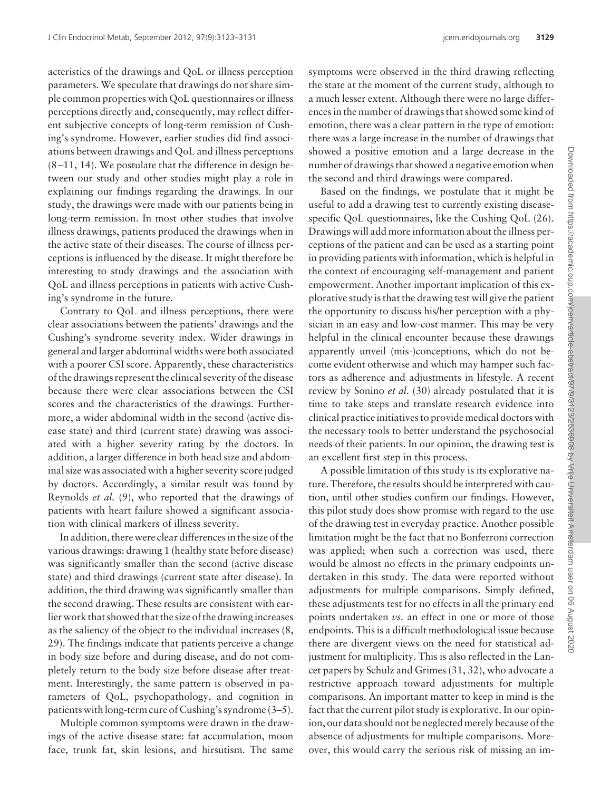acteristics of the drawings and QoL or illness perception parameters. We speculate that drawings do not share simple common properties with QoL questionnaires or illness perceptions directly and, consequently, may reflect different subjective concepts of long-term remission of Cushing's syndrome. However, earlier studies did find associations between drawings and QoL and illness perceptions  $(8-11, 14)$ . We postulate that the difference in design between our study and other studies might play a role in explaining our findings regarding the drawings. In our study, the drawings were made with our patients being in long-term remission. In most other studies that involve illness drawings, patients produced the drawings when in the active state of their diseases. The course of illness perceptions is influenced by the disease. It might therefore be interesting to study drawings and the association with QoL and illness perceptions in patients with active Cushing's syndrome in the future.

Contrary to QoL and illness perceptions, there were clear associations between the patients' drawings and the Cushing's syndrome severity index. Wider drawings in general and larger abdominal widths were both associated with a poorer CSI score. Apparently, these characteristics of the drawings represent the clinical severity of the disease because there were clear associations between the CSI scores and the characteristics of the drawings. Furthermore, a wider abdominal width in the second (active disease state) and third (current state) drawing was associated with a higher severity rating by the doctors. In addition, a larger difference in both head size and abdominal size was associated with a higher severity score judged by doctors. Accordingly, a similar result was found by Reynolds *et al.* (9), who reported that the drawings of patients with heart failure showed a significant association with clinical markers of illness severity.

In addition, there were clear differences in the size of the various drawings: drawing 1 (healthy state before disease) was significantly smaller than the second (active disease state) and third drawings (current state after disease). In addition, the third drawing was significantly smaller than the second drawing. These results are consistent with earlier work that showed that the size of the drawing increases as the saliency of the object to the individual increases (8, 29). The findings indicate that patients perceive a change in body size before and during disease, and do not completely return to the body size before disease after treatment. Interestingly, the same pattern is observed in parameters of QoL, psychopathology, and cognition in patients with long-term cure of Cushing's syndrome (3–5).

Multiple common symptoms were drawn in the drawings of the active disease state: fat accumulation, moon face, trunk fat, skin lesions, and hirsutism. The same

symptoms were observed in the third drawing reflecting the state at the moment of the current study, although to a much lesser extent. Although there were no large differences in the number of drawings that showed some kind of emotion, there was a clear pattern in the type of emotion: there was a large increase in the number of drawings that showed a positive emotion and a large decrease in the number of drawings that showed a negative emotion when the second and third drawings were compared.

Based on the findings, we postulate that it might be useful to add a drawing test to currently existing diseasespecific QoL questionnaires, like the Cushing QoL (26). Drawings will add more information about the illness perceptions of the patient and can be used as a starting point in providing patients with information, which is helpful in the context of encouraging self-management and patient empowerment. Another important implication of this explorative study is that the drawing test will give the patient the opportunity to discuss his/her perception with a physician in an easy and low-cost manner. This may be very helpful in the clinical encounter because these drawings apparently unveil (mis-)conceptions, which do not become evident otherwise and which may hamper such factors as adherence and adjustments in lifestyle. A recent review by Sonino *et al.* (30) already postulated that it is time to take steps and translate research evidence into clinical practice initiatives to provide medical doctors with the necessary tools to better understand the psychosocial needs of their patients. In our opinion, the drawing test is an excellent first step in this process.

A possible limitation of this study is its explorative nature. Therefore, the results should be interpreted with caution, until other studies confirm our findings. However, this pilot study does show promise with regard to the use of the drawing test in everyday practice. Another possible limitation might be the fact that no Bonferroni correction was applied; when such a correction was used, there would be almost no effects in the primary endpoints undertaken in this study. The data were reported without adjustments for multiple comparisons. Simply defined, these adjustments test for no effects in all the primary end points undertaken *vs.* an effect in one or more of those endpoints. This is a difficult methodological issue because there are divergent views on the need for statistical adjustment for multiplicity. This is also reflected in the Lancet papers by Schulz and Grimes (31, 32), who advocate a restrictive approach toward adjustments for multiple comparisons. An important matter to keep in mind is the fact that the current pilot study is explorative. In our opinion, our data should not be neglected merely because of the absence of adjustments for multiple comparisons. Moreover, this would carry the serious risk of missing an im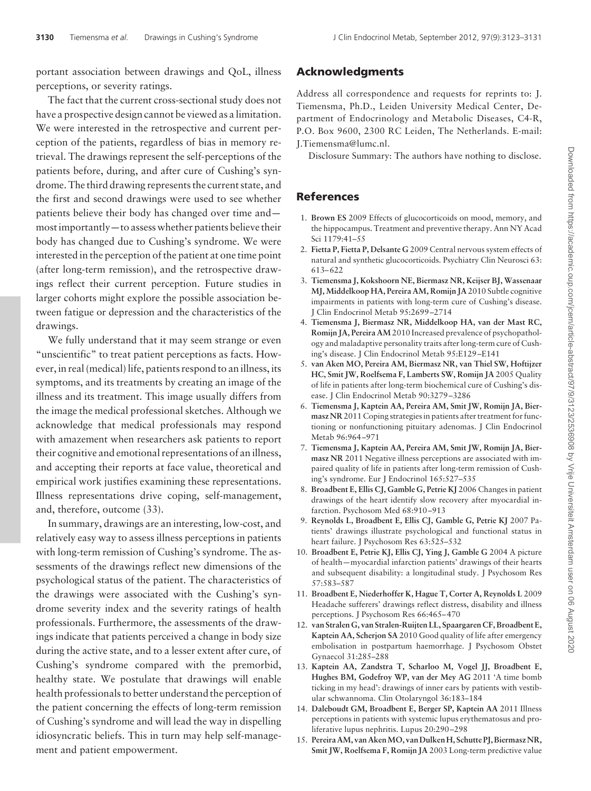portant association between drawings and QoL, illness perceptions, or severity ratings.

The fact that the current cross-sectional study does not have a prospective design cannot be viewed as a limitation. We were interested in the retrospective and current perception of the patients, regardless of bias in memory retrieval. The drawings represent the self-perceptions of the patients before, during, and after cure of Cushing's syndrome. The third drawing represents the current state, and the first and second drawings were used to see whether patients believe their body has changed over time and most importantly—to assess whether patients believe their body has changed due to Cushing's syndrome. We were interested in the perception of the patient at one time point (after long-term remission), and the retrospective drawings reflect their current perception. Future studies in larger cohorts might explore the possible association between fatigue or depression and the characteristics of the drawings.

We fully understand that it may seem strange or even "unscientific" to treat patient perceptions as facts. However, in real (medical) life, patients respond to an illness, its symptoms, and its treatments by creating an image of the illness and its treatment. This image usually differs from the image the medical professional sketches. Although we acknowledge that medical professionals may respond with amazement when researchers ask patients to report their cognitive and emotional representations of an illness, and accepting their reports at face value, theoretical and empirical work justifies examining these representations. Illness representations drive coping, self-management, and, therefore, outcome (33).

In summary, drawings are an interesting, low-cost, and relatively easy way to assess illness perceptions in patients with long-term remission of Cushing's syndrome. The assessments of the drawings reflect new dimensions of the psychological status of the patient. The characteristics of the drawings were associated with the Cushing's syndrome severity index and the severity ratings of health professionals. Furthermore, the assessments of the drawings indicate that patients perceived a change in body size during the active state, and to a lesser extent after cure, of Cushing's syndrome compared with the premorbid, healthy state. We postulate that drawings will enable health professionals to better understand the perception of the patient concerning the effects of long-term remission of Cushing's syndrome and will lead the way in dispelling idiosyncratic beliefs. This in turn may help self-management and patient empowerment.

# **Acknowledgments**

Address all correspondence and requests for reprints to: J. Tiemensma, Ph.D., Leiden University Medical Center, Department of Endocrinology and Metabolic Diseases, C4-R, P.O. Box 9600, 2300 RC Leiden, The Netherlands. E-mail: J.Tiemensma@lumc.nl.

Disclosure Summary: The authors have nothing to disclose.

## **References**

- 1. **Brown ES** 2009 Effects of glucocorticoids on mood, memory, and the hippocampus. Treatment and preventive therapy. Ann NY Acad Sci 1179:41–55
- 2. **Fietta P, Fietta P, Delsante G** 2009 Central nervous system effects of natural and synthetic glucocorticoids. Psychiatry Clin Neurosci 63: 613– 622
- 3. **Tiemensma J, Kokshoorn NE, Biermasz NR, Keijser BJ, Wassenaar MJ, Middelkoop HA, Pereira AM, Romijn JA** 2010 Subtle cognitive impairments in patients with long-term cure of Cushing's disease. J Clin Endocrinol Metab 95:2699 –2714
- 4. **Tiemensma J, Biermasz NR, Middelkoop HA, van der Mast RC, Romijn JA, Pereira AM** 2010 Increased prevalence of psychopathology and maladaptive personality traits after long-term cure of Cushing's disease. J Clin Endocrinol Metab 95:E129 –E141
- 5. **van Aken MO, Pereira AM, Biermasz NR, van Thiel SW, Hoftijzer HC, Smit JW, Roelfsema F, Lamberts SW, Romijn JA** 2005 Quality of life in patients after long-term biochemical cure of Cushing's disease. J Clin Endocrinol Metab 90:3279 –3286
- 6. **Tiemensma J, Kaptein AA, Pereira AM, Smit JW, Romijn JA, Biermasz NR** 2011 Coping strategies in patients after treatment for functioning or nonfunctioning pituitary adenomas. J Clin Endocrinol Metab 96:964 –971
- 7. **Tiemensma J, Kaptein AA, Pereira AM, Smit JW, Romijn JA, Biermasz NR** 2011 Negative illness perceptions are associated with impaired quality of life in patients after long-term remission of Cushing's syndrome. Eur J Endocrinol 165:527–535
- 8. **Broadbent E, Ellis CJ, Gamble G, Petrie KJ** 2006 Changes in patient drawings of the heart identify slow recovery after myocardial infarction. Psychosom Med 68:910 –913
- 9. **Reynolds L, Broadbent E, Ellis CJ, Gamble G, Petrie KJ** 2007 Patients' drawings illustrate psychological and functional status in heart failure. J Psychosom Res 63:525–532
- 10. **Broadbent E, Petrie KJ, Ellis CJ, Ying J, Gamble G** 2004 A picture of health—myocardial infarction patients' drawings of their hearts and subsequent disability: a longitudinal study. J Psychosom Res 57:583–587
- 11. **Broadbent E, Niederhoffer K, Hague T, Corter A, Reynolds L** 2009 Headache sufferers' drawings reflect distress, disability and illness perceptions. J Psychosom Res 66:465– 470
- 12. **van Stralen G, van Stralen-Ruijten LL, Spaargaren CF, Broadbent E, Kaptein AA, Scherjon SA** 2010 Good quality of life after emergency embolisation in postpartum haemorrhage. J Psychosom Obstet Gynaecol 31:285–288
- 13. **Kaptein AA, Zandstra T, Scharloo M, Vogel JJ, Broadbent E, Hughes BM, Godefroy WP, van der Mey AG** 2011 'A time bomb ticking in my head': drawings of inner ears by patients with vestibular schwannoma. Clin Otolaryngol 36:183–184
- 14. **Daleboudt GM, Broadbent E, Berger SP, Kaptein AA** 2011 Illness perceptions in patients with systemic lupus erythematosus and proliferative lupus nephritis. Lupus 20:290 –298
- 15. **Pereira AM, van AkenMO, van Dulken H, Schutte PJ, Biermasz NR, Smit JW, Roelfsema F, Romijn JA** 2003 Long-term predictive value